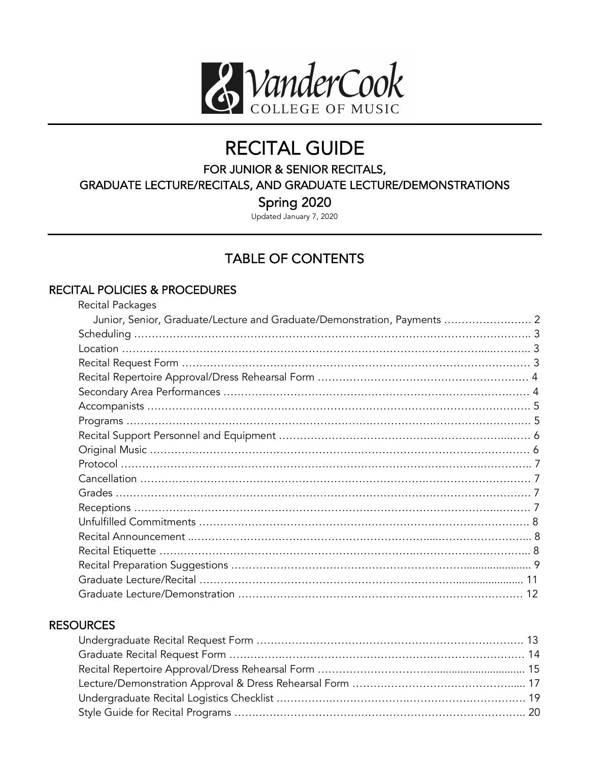

# RECITAL GUIDE<br>FOR JUNIOR & SENIOR RECITALS,

GRADUATE LECTURE/RECITALS, AND GRADUATE LECTURE/DEMONSTRATIONS

Spring 2020<br>Updated January 7, 2020

## TABLE OF CONTENTS

#### RECITAL POLICIES & PROCEDURES

| <b>Recital Packages</b>                                                  |  |
|--------------------------------------------------------------------------|--|
| Junior, Senior, Graduate/Lecture and Graduate/Demonstration, Payments  2 |  |
|                                                                          |  |
|                                                                          |  |
|                                                                          |  |
|                                                                          |  |
|                                                                          |  |
|                                                                          |  |
|                                                                          |  |
|                                                                          |  |
|                                                                          |  |
|                                                                          |  |
|                                                                          |  |
|                                                                          |  |
|                                                                          |  |
|                                                                          |  |
|                                                                          |  |
|                                                                          |  |
|                                                                          |  |
|                                                                          |  |
|                                                                          |  |
|                                                                          |  |

#### **RESOURCES**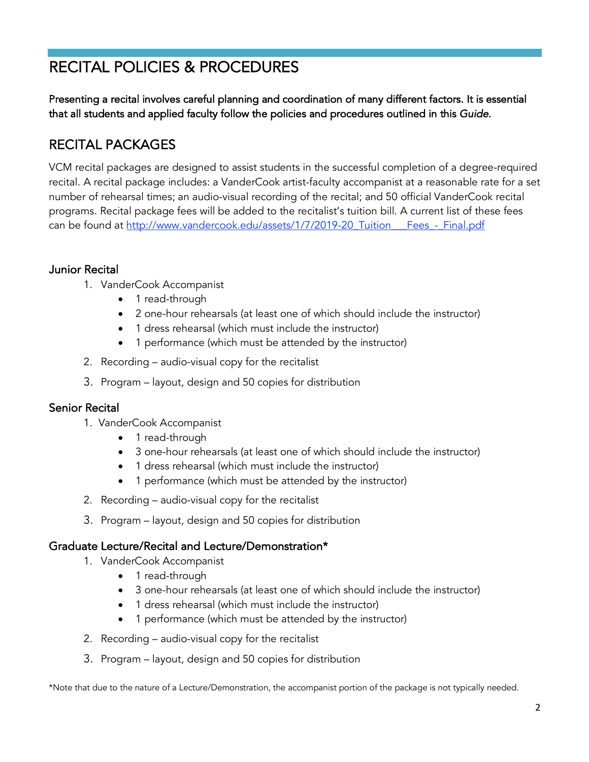# RECITAL POLICIES & PROCEDURES

Presenting a recital involves careful planning and coordination of many different factors. It is essential that all students and applied faculty follow the policies and procedures outlined in this *Guide*.

## RECITAL PACKAGES

VCM recital packages are designed to assist students in the successful completion of a degree-required recital. A recital package includes: a VanderCook artist-faculty accompanist at a reasonable rate for a set number of rehearsal times; an audio-visual recording of the recital; and 50 official VanderCook recital programs. Recital package fees will be added to the recitalist's tuition bill. A current list of these fees can be found at http://www.vandercook.edu/assets/1/7/2019-20\_Tuition\_\_\_Fees\_-\_Final.pdf

#### Junior Recital

- 1. VanderCook Accompanist
	- 1 read-through
	- 2 one-hour rehearsals (at least one of which should include the instructor)
	- 1 dress rehearsal (which must include the instructor)
	- 1 performance (which must be attended by the instructor)
- 2. Recording audio-visual copy for the recitalist
- 3. Program layout, design and 50 copies for distribution

#### Senior Recital

- 1. VanderCook Accompanist
	- 1 read-through
	- 3 one-hour rehearsals (at least one of which should include the instructor)
	- 1 dress rehearsal (which must include the instructor)
	- 1 performance (which must be attended by the instructor)
- 2. Recording audio-visual copy for the recitalist
- 3. Program layout, design and 50 copies for distribution

#### Graduate Lecture/Recital and Lecture/Demonstration\*

- 1. VanderCook Accompanist
	- 1 read-through
	- 3 one-hour rehearsals (at least one of which should include the instructor)
	- 1 dress rehearsal (which must include the instructor)
	- 1 performance (which must be attended by the instructor)
- 2. Recording audio-visual copy for the recitalist
- 3. Program layout, design and 50 copies for distribution

\*Note that due to the nature of a Lecture/Demonstration, the accompanist portion of the package is not typically needed.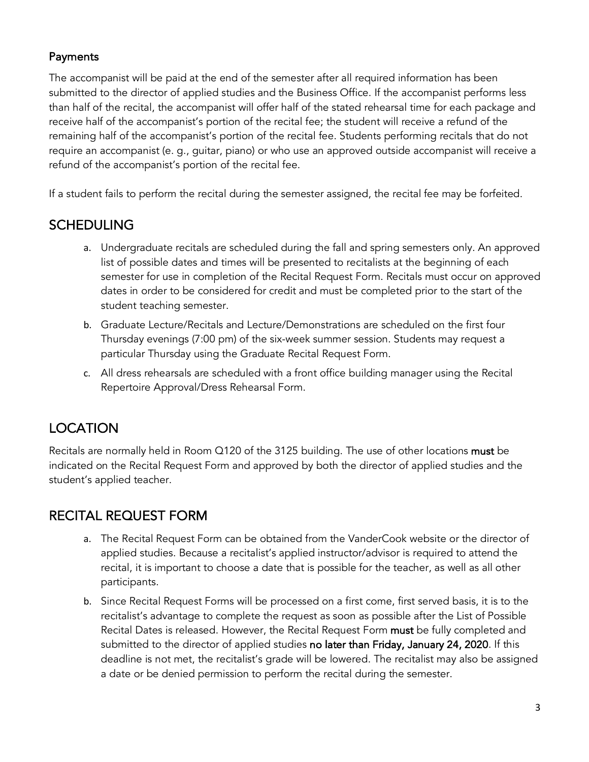#### **Payments**

The accompanist will be paid at the end of the semester after all required information has been submitted to the director of applied studies and the Business Office. If the accompanist performs less than half of the recital, the accompanist will offer half of the stated rehearsal time for each package and receive half of the accompanist's portion of the recital fee; the student will receive a refund of the remaining half of the accompanist's portion of the recital fee. Students performing recitals that do not require an accompanist (e. g., guitar, piano) or who use an approved outside accompanist will receive a refund of the accompanist's portion of the recital fee.

If a student fails to perform the recital during the semester assigned, the recital fee may be forfeited.

#### SCHEDULING

- a. Undergraduate recitals are scheduled during the fall and spring semesters only. An approved list of possible dates and times will be presented to recitalists at the beginning of each semester for use in completion of the Recital Request Form. Recitals must occur on approved dates in order to be considered for credit and must be completed prior to the start of the student teaching semester.
- b. Graduate Lecture/Recitals and Lecture/Demonstrations are scheduled on the first four Thursday evenings (7:00 pm) of the six-week summer session. Students may request a particular Thursday using the Graduate Recital Request Form.
- c. All dress rehearsals are scheduled with a front office building manager using the Recital Repertoire Approval/Dress Rehearsal Form.

## LOCATION

Recitals are normally held in Room Q120 of the 3125 building. The use of other locations must be indicated on the Recital Request Form and approved by both the director of applied studies and the student's applied teacher.

#### RECITAL REQUEST FORM

- a. The Recital Request Form can be obtained from the VanderCook website or the director of applied studies. Because a recitalist's applied instructor/advisor is required to attend the recital, it is important to choose a date that is possible for the teacher, as well as all other participants.
- b. Since Recital Request Forms will be processed on a first come, first served basis, it is to the recitalist's advantage to complete the request as soon as possible after the List of Possible Recital Dates is released. However, the Recital Request Form must be fully completed and submitted to the director of applied studies no later than Friday, January 24, 2020. If this deadline is not met, the recitalist's grade will be lowered. The recitalist may also be assigned a date or be denied permission to perform the recital during the semester.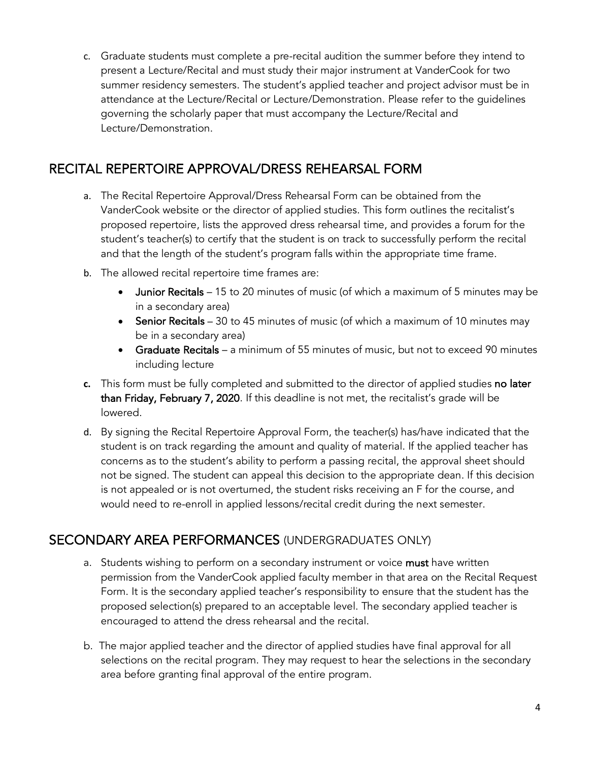c. Graduate students must complete a pre-recital audition the summer before they intend to present a Lecture/Recital and must study their major instrument at VanderCook for two summer residency semesters. The student's applied teacher and project advisor must be in attendance at the Lecture/Recital or Lecture/Demonstration. Please refer to the guidelines governing the scholarly paper that must accompany the Lecture/Recital and Lecture/Demonstration.

#### RECITAL REPERTOIRE APPROVAL/DRESS REHEARSAL FORM

- a. The Recital Repertoire Approval/Dress Rehearsal Form can be obtained from the VanderCook website or the director of applied studies. This form outlines the recitalist's proposed repertoire, lists the approved dress rehearsal time, and provides a forum for the student's teacher(s) to certify that the student is on track to successfully perform the recital and that the length of the student's program falls within the appropriate time frame.
- b. The allowed recital repertoire time frames are:
	- Junior Recitals 15 to 20 minutes of music (of which a maximum of 5 minutes may be in a secondary area)
	- Senior Recitals 30 to 45 minutes of music (of which a maximum of 10 minutes may be in a secondary area)
	- Graduate Recitals a minimum of 55 minutes of music, but not to exceed 90 minutes including lecture
- **c.** This form must be fully completed and submitted to the director of applied studies no later than Friday, February 7, 2020. If this deadline is not met, the recitalist's grade will be lowered.
- d. By signing the Recital Repertoire Approval Form, the teacher(s) has/have indicated that the student is on track regarding the amount and quality of material. If the applied teacher has concerns as to the student's ability to perform a passing recital, the approval sheet should not be signed. The student can appeal this decision to the appropriate dean. If this decision is not appealed or is not overturned, the student risks receiving an F for the course, and would need to re-enroll in applied lessons/recital credit during the next semester.

#### SECONDARY AREA PERFORMANCES (UNDERGRADUATES ONLY)

- a. Students wishing to perform on a secondary instrument or voice must have written permission from the VanderCook applied faculty member in that area on the Recital Request Form. It is the secondary applied teacher's responsibility to ensure that the student has the proposed selection(s) prepared to an acceptable level. The secondary applied teacher is encouraged to attend the dress rehearsal and the recital.
- b. The major applied teacher and the director of applied studies have final approval for all selections on the recital program. They may request to hear the selections in the secondary area before granting final approval of the entire program.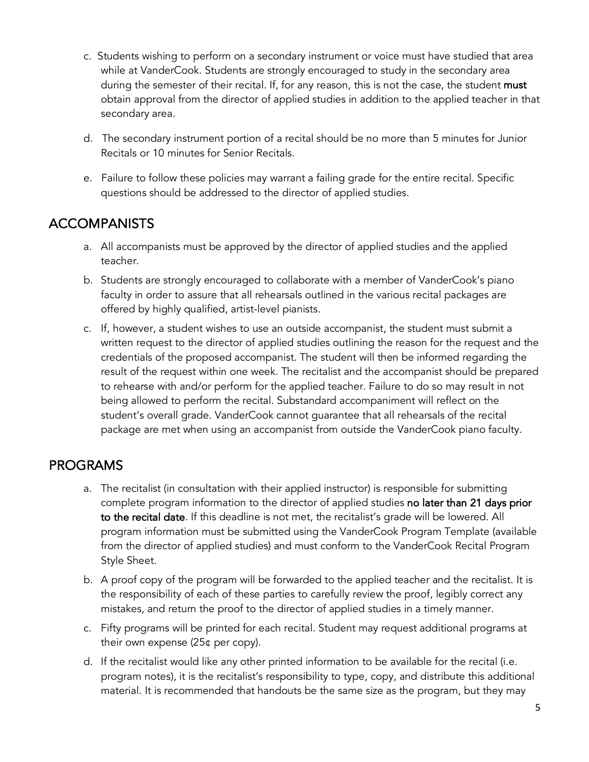- c. Students wishing to perform on a secondary instrument or voice must have studied that area while at VanderCook. Students are strongly encouraged to study in the secondary area during the semester of their recital. If, for any reason, this is not the case, the student must obtain approval from the director of applied studies in addition to the applied teacher in that secondary area.
- d. The secondary instrument portion of a recital should be no more than 5 minutes for Junior Recitals or 10 minutes for Senior Recitals.
- e. Failure to follow these policies may warrant a failing grade for the entire recital. Specific questions should be addressed to the director of applied studies.

## ACCOMPANISTS

- a. All accompanists must be approved by the director of applied studies and the applied teacher.
- b. Students are strongly encouraged to collaborate with a member of VanderCook's piano faculty in order to assure that all rehearsals outlined in the various recital packages are offered by highly qualified, artist-level pianists.
- c. If, however, a student wishes to use an outside accompanist, the student must submit a written request to the director of applied studies outlining the reason for the request and the credentials of the proposed accompanist. The student will then be informed regarding the result of the request within one week. The recitalist and the accompanist should be prepared to rehearse with and/or perform for the applied teacher. Failure to do so may result in not being allowed to perform the recital. Substandard accompaniment will reflect on the student's overall grade. VanderCook cannot guarantee that all rehearsals of the recital package are met when using an accompanist from outside the VanderCook piano faculty.

## PROGRAMS

- a. The recitalist (in consultation with their applied instructor) is responsible for submitting complete program information to the director of applied studies no later than 21 days prior to the recital date. If this deadline is not met, the recitalist's grade will be lowered. All program information must be submitted using the VanderCook Program Template (available from the director of applied studies) and must conform to the VanderCook Recital Program Style Sheet.
- b. A proof copy of the program will be forwarded to the applied teacher and the recitalist. It is the responsibility of each of these parties to carefully review the proof, legibly correct any mistakes, and return the proof to the director of applied studies in a timely manner.
- c. Fifty programs will be printed for each recital. Student may request additional programs at their own expense (25¢ per copy).
- d. If the recitalist would like any other printed information to be available for the recital (i.e. program notes), it is the recitalist's responsibility to type, copy, and distribute this additional material. It is recommended that handouts be the same size as the program, but they may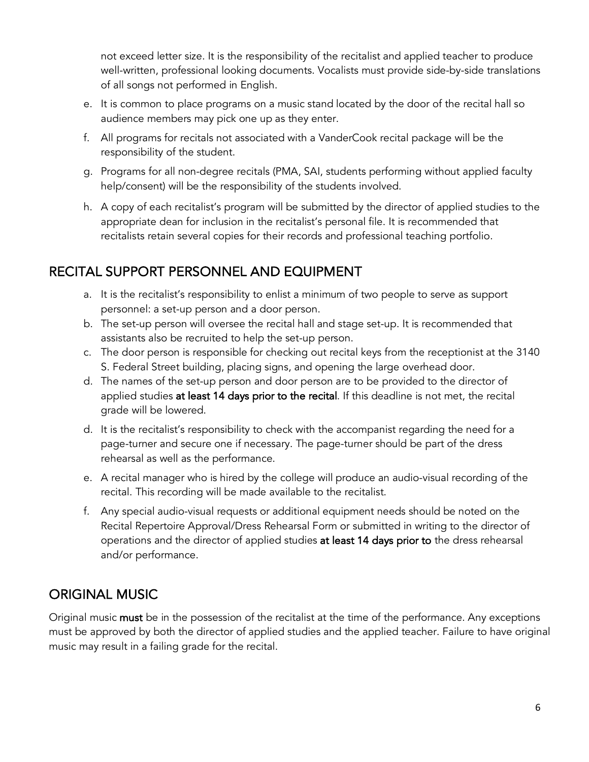not exceed letter size. It is the responsibility of the recitalist and applied teacher to produce well-written, professional looking documents. Vocalists must provide side-by-side translations of all songs not performed in English.

- e. It is common to place programs on a music stand located by the door of the recital hall so audience members may pick one up as they enter.
- f. All programs for recitals not associated with a VanderCook recital package will be the responsibility of the student.
- g. Programs for all non-degree recitals (PMA, SAI, students performing without applied faculty help/consent) will be the responsibility of the students involved.
- h. A copy of each recitalist's program will be submitted by the director of applied studies to the appropriate dean for inclusion in the recitalist's personal file. It is recommended that recitalists retain several copies for their records and professional teaching portfolio.

## RECITAL SUPPORT PERSONNEL AND EQUIPMENT

- a. It is the recitalist's responsibility to enlist a minimum of two people to serve as support personnel: a set-up person and a door person.
- b. The set-up person will oversee the recital hall and stage set-up. It is recommended that assistants also be recruited to help the set-up person.
- c. The door person is responsible for checking out recital keys from the receptionist at the 3140 S. Federal Street building, placing signs, and opening the large overhead door.
- d. The names of the set-up person and door person are to be provided to the director of applied studies at least 14 days prior to the recital. If this deadline is not met, the recital grade will be lowered.
- d. It is the recitalist's responsibility to check with the accompanist regarding the need for a page-turner and secure one if necessary. The page-turner should be part of the dress rehearsal as well as the performance.
- e. A recital manager who is hired by the college will produce an audio-visual recording of the recital. This recording will be made available to the recitalist.
- f. Any special audio-visual requests or additional equipment needs should be noted on the Recital Repertoire Approval/Dress Rehearsal Form or submitted in writing to the director of operations and the director of applied studies at least 14 days prior to the dress rehearsal and/or performance.

## ORIGINAL MUSIC

Original music must be in the possession of the recitalist at the time of the performance. Any exceptions must be approved by both the director of applied studies and the applied teacher. Failure to have original music may result in a failing grade for the recital.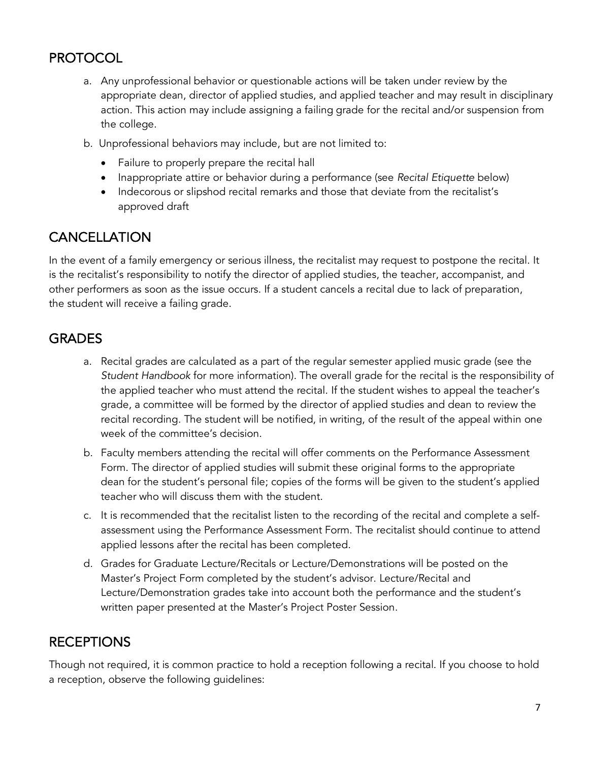## **PROTOCOL**

- a. Any unprofessional behavior or questionable actions will be taken under review by the appropriate dean, director of applied studies, and applied teacher and may result in disciplinary action. This action may include assigning a failing grade for the recital and/or suspension from the college.
- b. Unprofessional behaviors may include, but are not limited to:
	- Failure to properly prepare the recital hall
	- Inappropriate attire or behavior during a performance (see *Recital Etiquette* below)
	- Indecorous or slipshod recital remarks and those that deviate from the recitalist's approved draft

## **CANCELLATION**

In the event of a family emergency or serious illness, the recitalist may request to postpone the recital. It is the recitalist's responsibility to notify the director of applied studies, the teacher, accompanist, and other performers as soon as the issue occurs. If a student cancels a recital due to lack of preparation, the student will receive a failing grade.

## GRADES

- a. Recital grades are calculated as a part of the regular semester applied music grade (see the *Student Handbook* for more information). The overall grade for the recital is the responsibility of the applied teacher who must attend the recital. If the student wishes to appeal the teacher's grade, a committee will be formed by the director of applied studies and dean to review the recital recording. The student will be notified, in writing, of the result of the appeal within one week of the committee's decision.
- b. Faculty members attending the recital will offer comments on the Performance Assessment Form. The director of applied studies will submit these original forms to the appropriate dean for the student's personal file; copies of the forms will be given to the student's applied teacher who will discuss them with the student.
- c. It is recommended that the recitalist listen to the recording of the recital and complete a selfassessment using the Performance Assessment Form. The recitalist should continue to attend applied lessons after the recital has been completed.
- d. Grades for Graduate Lecture/Recitals or Lecture/Demonstrations will be posted on the Master's Project Form completed by the student's advisor. Lecture/Recital and Lecture/Demonstration grades take into account both the performance and the student's written paper presented at the Master's Project Poster Session.

## RECEPTIONS

Though not required, it is common practice to hold a reception following a recital. If you choose to hold a reception, observe the following guidelines: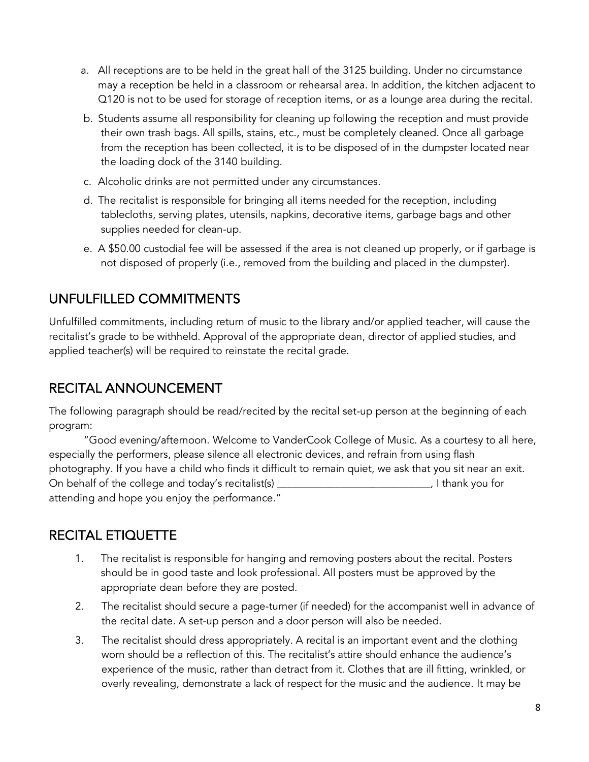- a. All receptions are to be held in the great hall of the 3125 building. Under no circumstance may a reception be held in a classroom or rehearsal area. In addition, the kitchen adjacent to Q120 is not to be used for storage of reception items, or as a lounge area during the recital.
- b. Students assume all responsibility for cleaning up following the reception and must provide their own trash bags. All spills, stains, etc., must be completely cleaned. Once all garbage from the reception has been collected, it is to be disposed of in the dumpster located near the loading dock of the 3140 building.
- c. Alcoholic drinks are not permitted under any circumstances.
- d. The recitalist is responsible for bringing all items needed for the reception, including tablecloths, serving plates, utensils, napkins, decorative items, garbage bags and other supplies needed for clean-up.
- e. A \$50.00 custodial fee will be assessed if the area is not cleaned up properly, or if garbage is not disposed of properly (i.e., removed from the building and placed in the dumpster).

## UNFULFILLED COMMITMENTS

Unfulfilled commitments, including return of music to the library and/or applied teacher, will cause the recitalist's grade to be withheld. Approval of the appropriate dean, director of applied studies, and applied teacher(s) will be required to reinstate the recital grade.

## RECITAL ANNOUNCEMENT

The following paragraph should be read/recited by the recital set-up person at the beginning of each program:

"Good evening/afternoon. Welcome to VanderCook College of Music. As a courtesy to all here, especially the performers, please silence all electronic devices, and refrain from using flash photography. If you have a child who finds it difficult to remain quiet, we ask that you sit near an exit. On behalf of the college and today's recitalist(s) \_\_\_\_\_\_\_\_\_\_\_\_\_\_\_\_\_\_\_\_\_\_\_\_\_\_\_\_\_\_, I thank you for attending and hope you enjoy the performance."

## RECITAL ETIQUETTE

- 1. The recitalist is responsible for hanging and removing posters about the recital. Posters should be in good taste and look professional. All posters must be approved by the appropriate dean before they are posted.
- 2. The recitalist should secure a page-turner (if needed) for the accompanist well in advance of the recital date. A set-up person and a door person will also be needed.
- 3. The recitalist should dress appropriately. A recital is an important event and the clothing worn should be a reflection of this. The recitalist's attire should enhance the audience's experience of the music, rather than detract from it. Clothes that are ill fitting, wrinkled, or overly revealing, demonstrate a lack of respect for the music and the audience. It may be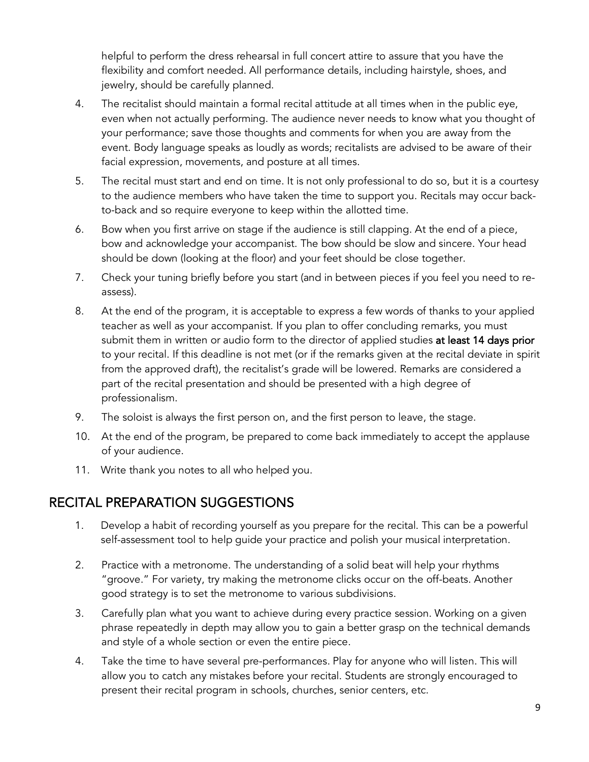helpful to perform the dress rehearsal in full concert attire to assure that you have the flexibility and comfort needed. All performance details, including hairstyle, shoes, and jewelry, should be carefully planned.

- 4. The recitalist should maintain a formal recital attitude at all times when in the public eye, even when not actually performing. The audience never needs to know what you thought of your performance; save those thoughts and comments for when you are away from the event. Body language speaks as loudly as words; recitalists are advised to be aware of their facial expression, movements, and posture at all times.
- 5. The recital must start and end on time. It is not only professional to do so, but it is a courtesy to the audience members who have taken the time to support you. Recitals may occur backto-back and so require everyone to keep within the allotted time.
- 6. Bow when you first arrive on stage if the audience is still clapping. At the end of a piece, bow and acknowledge your accompanist. The bow should be slow and sincere. Your head should be down (looking at the floor) and your feet should be close together.
- 7. Check your tuning briefly before you start (and in between pieces if you feel you need to reassess).
- 8. At the end of the program, it is acceptable to express a few words of thanks to your applied teacher as well as your accompanist. If you plan to offer concluding remarks, you must submit them in written or audio form to the director of applied studies at least 14 days prior to your recital. If this deadline is not met (or if the remarks given at the recital deviate in spirit from the approved draft), the recitalist's grade will be lowered. Remarks are considered a part of the recital presentation and should be presented with a high degree of professionalism.
- 9. The soloist is always the first person on, and the first person to leave, the stage.
- 10. At the end of the program, be prepared to come back immediately to accept the applause of your audience.
- 11. Write thank you notes to all who helped you.

#### RECITAL PREPARATION SUGGESTIONS

- 1. Develop a habit of recording yourself as you prepare for the recital. This can be a powerful self-assessment tool to help guide your practice and polish your musical interpretation.
- 2. Practice with a metronome. The understanding of a solid beat will help your rhythms "groove." For variety, try making the metronome clicks occur on the off-beats. Another good strategy is to set the metronome to various subdivisions.
- 3. Carefully plan what you want to achieve during every practice session. Working on a given phrase repeatedly in depth may allow you to gain a better grasp on the technical demands and style of a whole section or even the entire piece.
- 4. Take the time to have several pre-performances. Play for anyone who will listen. This will allow you to catch any mistakes before your recital. Students are strongly encouraged to present their recital program in schools, churches, senior centers, etc.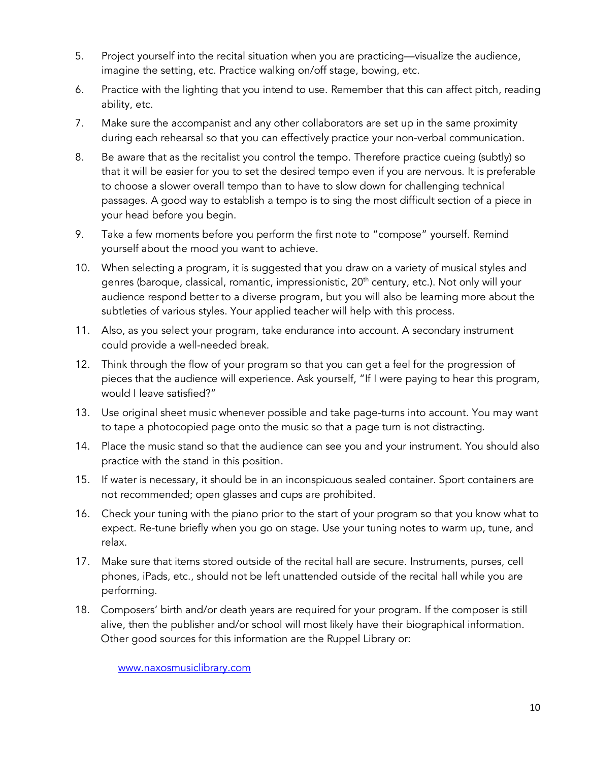- 5. Project yourself into the recital situation when you are practicing—visualize the audience, imagine the setting, etc. Practice walking on/off stage, bowing, etc.
- 6. Practice with the lighting that you intend to use. Remember that this can affect pitch, reading ability, etc.
- 7. Make sure the accompanist and any other collaborators are set up in the same proximity during each rehearsal so that you can effectively practice your non-verbal communication.
- 8. Be aware that as the recitalist you control the tempo. Therefore practice cueing (subtly) so that it will be easier for you to set the desired tempo even if you are nervous. It is preferable to choose a slower overall tempo than to have to slow down for challenging technical passages. A good way to establish a tempo is to sing the most difficult section of a piece in your head before you begin.
- 9. Take a few moments before you perform the first note to "compose" yourself. Remind yourself about the mood you want to achieve.
- 10. When selecting a program, it is suggested that you draw on a variety of musical styles and genres (baroque, classical, romantic, impressionistic, 20<sup>th</sup> century, etc.). Not only will your audience respond better to a diverse program, but you will also be learning more about the subtleties of various styles. Your applied teacher will help with this process.
- 11. Also, as you select your program, take endurance into account. A secondary instrument could provide a well-needed break.
- 12. Think through the flow of your program so that you can get a feel for the progression of pieces that the audience will experience. Ask yourself, "If I were paying to hear this program, would I leave satisfied?"
- 13. Use original sheet music whenever possible and take page-turns into account. You may want to tape a photocopied page onto the music so that a page turn is not distracting.
- 14. Place the music stand so that the audience can see you and your instrument. You should also practice with the stand in this position.
- 15. If water is necessary, it should be in an inconspicuous sealed container. Sport containers are not recommended; open glasses and cups are prohibited.
- 16. Check your tuning with the piano prior to the start of your program so that you know what to expect. Re-tune briefly when you go on stage. Use your tuning notes to warm up, tune, and relax.
- 17. Make sure that items stored outside of the recital hall are secure. Instruments, purses, cell phones, iPads, etc., should not be left unattended outside of the recital hall while you are performing.
- 18. Composers' birth and/or death years are required for your program. If the composer is still alive, then the publisher and/or school will most likely have their biographical information. Other good sources for this information are the Ruppel Library or:

www.naxosmusiclibrary.com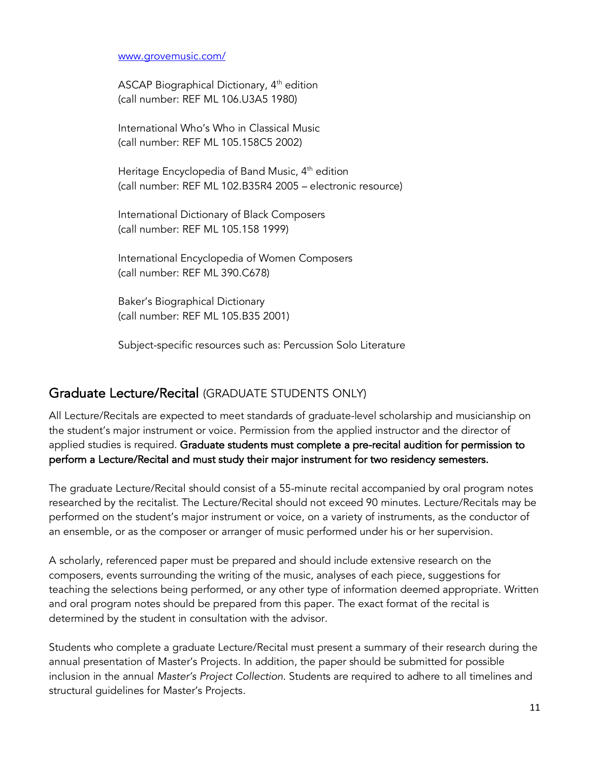#### www.grovemusic.com/

ASCAP Biographical Dictionary, 4<sup>th</sup> edition (call number: REF ML 106.U3A5 1980)

International Who's Who in Classical Music (call number: REF ML 105.158C5 2002)

Heritage Encyclopedia of Band Music, 4<sup>th</sup> edition (call number: REF ML 102.B35R4 2005 – electronic resource)

International Dictionary of Black Composers (call number: REF ML 105.158 1999)

International Encyclopedia of Women Composers (call number: REF ML 390.C678)

Baker's Biographical Dictionary (call number: REF ML 105.B35 2001)

Subject-specific resources such as: Percussion Solo Literature

#### Graduate Lecture/Recital (GRADUATE STUDENTS ONLY)

All Lecture/Recitals are expected to meet standards of graduate-level scholarship and musicianship on the student's major instrument or voice. Permission from the applied instructor and the director of applied studies is required. Graduate students must complete a pre-recital audition for permission to perform a Lecture/Recital and must study their major instrument for two residency semesters.

The graduate Lecture/Recital should consist of a 55-minute recital accompanied by oral program notes researched by the recitalist. The Lecture/Recital should not exceed 90 minutes. Lecture/Recitals may be performed on the student's major instrument or voice, on a variety of instruments, as the conductor of an ensemble, or as the composer or arranger of music performed under his or her supervision.

A scholarly, referenced paper must be prepared and should include extensive research on the composers, events surrounding the writing of the music, analyses of each piece, suggestions for teaching the selections being performed, or any other type of information deemed appropriate. Written and oral program notes should be prepared from this paper. The exact format of the recital is determined by the student in consultation with the advisor.

Students who complete a graduate Lecture/Recital must present a summary of their research during the annual presentation of Master's Projects. In addition, the paper should be submitted for possible inclusion in the annual *Master's Project Collection*. Students are required to adhere to all timelines and structural guidelines for Master's Projects.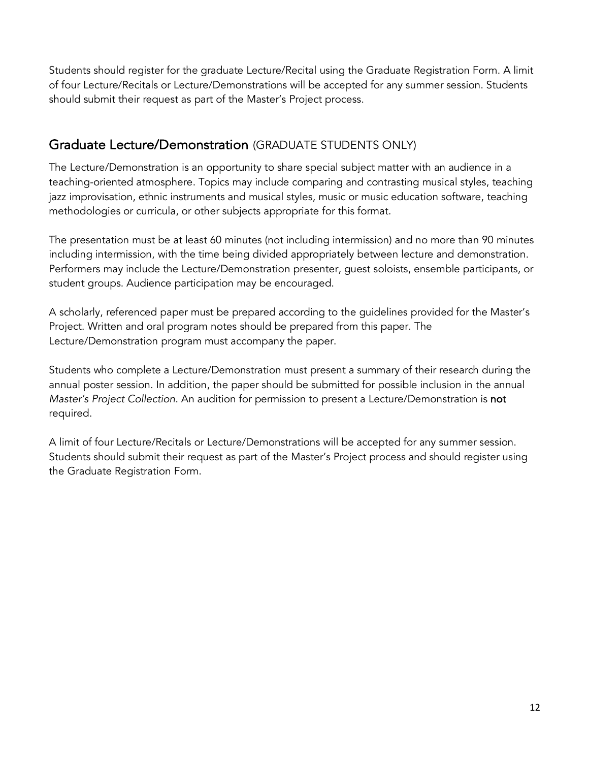Students should register for the graduate Lecture/Recital using the Graduate Registration Form. A limit of four Lecture/Recitals or Lecture/Demonstrations will be accepted for any summer session. Students should submit their request as part of the Master's Project process.

#### Graduate Lecture/Demonstration (GRADUATE STUDENTS ONLY)

The Lecture/Demonstration is an opportunity to share special subject matter with an audience in a teaching-oriented atmosphere. Topics may include comparing and contrasting musical styles, teaching jazz improvisation, ethnic instruments and musical styles, music or music education software, teaching methodologies or curricula, or other subjects appropriate for this format.

The presentation must be at least 60 minutes (not including intermission) and no more than 90 minutes including intermission, with the time being divided appropriately between lecture and demonstration. Performers may include the Lecture/Demonstration presenter, guest soloists, ensemble participants, or student groups. Audience participation may be encouraged.

A scholarly, referenced paper must be prepared according to the guidelines provided for the Master's Project. Written and oral program notes should be prepared from this paper. The Lecture/Demonstration program must accompany the paper.

Students who complete a Lecture/Demonstration must present a summary of their research during the annual poster session. In addition, the paper should be submitted for possible inclusion in the annual *Master's Project Collection*. An audition for permission to present a Lecture/Demonstration is not required.

A limit of four Lecture/Recitals or Lecture/Demonstrations will be accepted for any summer session. Students should submit their request as part of the Master's Project process and should register using the Graduate Registration Form.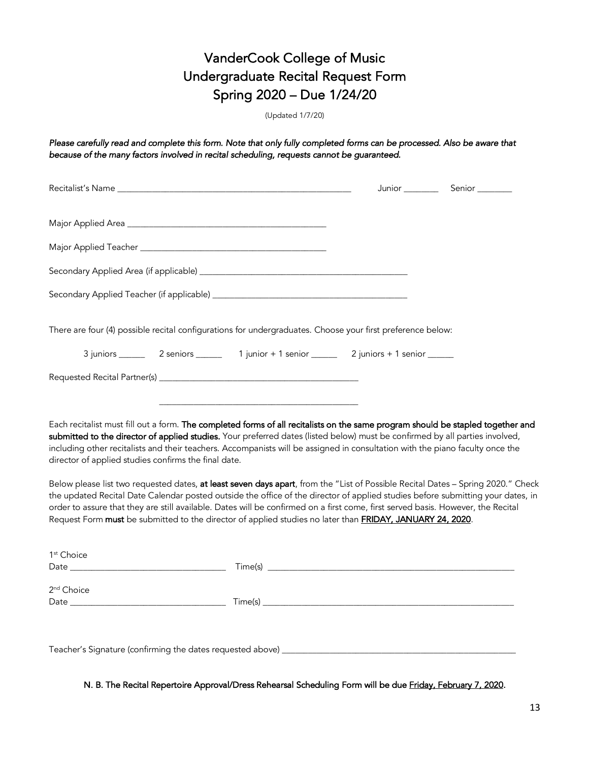## VanderCook College of Music Undergraduate Recital Request Form Spring 2020 – Due 1/24/20

(Updated 1/7/20)

*Please carefully read and complete this form. Note that only fully completed forms can be processed. Also be aware that because of the many factors involved in recital scheduling, requests cannot be guaranteed.* 

|                                                      |  | There are four (4) possible recital configurations for undergraduates. Choose your first preference below:                                                                                                                                                                                                                                                                                       |                                                                                                                                  |
|------------------------------------------------------|--|--------------------------------------------------------------------------------------------------------------------------------------------------------------------------------------------------------------------------------------------------------------------------------------------------------------------------------------------------------------------------------------------------|----------------------------------------------------------------------------------------------------------------------------------|
|                                                      |  |                                                                                                                                                                                                                                                                                                                                                                                                  |                                                                                                                                  |
|                                                      |  |                                                                                                                                                                                                                                                                                                                                                                                                  |                                                                                                                                  |
| director of applied studies confirms the final date. |  | Each recitalist must fill out a form. The completed forms of all recitalists on the same program should be stapled together and<br>submitted to the director of applied studies. Your preferred dates (listed below) must be confirmed by all parties involved,<br>including other recitalists and their teachers. Accompanists will be assigned in consultation with the piano faculty once the |                                                                                                                                  |
|                                                      |  | the updated Recital Date Calendar posted outside the office of the director of applied studies before submitting your dates, in<br>order to assure that they are still available. Dates will be confirmed on a first come, first served basis. However, the Recital<br>Request Form must be submitted to the director of applied studies no later than <b>FRIDAY, JANUARY 24, 2020</b> .         | Below please list two requested dates, at least seven days apart, from the "List of Possible Recital Dates - Spring 2020." Check |
| 1 <sup>st</sup> Choice                               |  |                                                                                                                                                                                                                                                                                                                                                                                                  |                                                                                                                                  |
| 2 <sup>nd</sup> Choice                               |  |                                                                                                                                                                                                                                                                                                                                                                                                  |                                                                                                                                  |
|                                                      |  |                                                                                                                                                                                                                                                                                                                                                                                                  |                                                                                                                                  |
|                                                      |  |                                                                                                                                                                                                                                                                                                                                                                                                  |                                                                                                                                  |

Teacher's Signature (confirming the dates requested above)

N. B. The Recital Repertoire Approval/Dress Rehearsal Scheduling Form will be due Friday, February 7, 2020.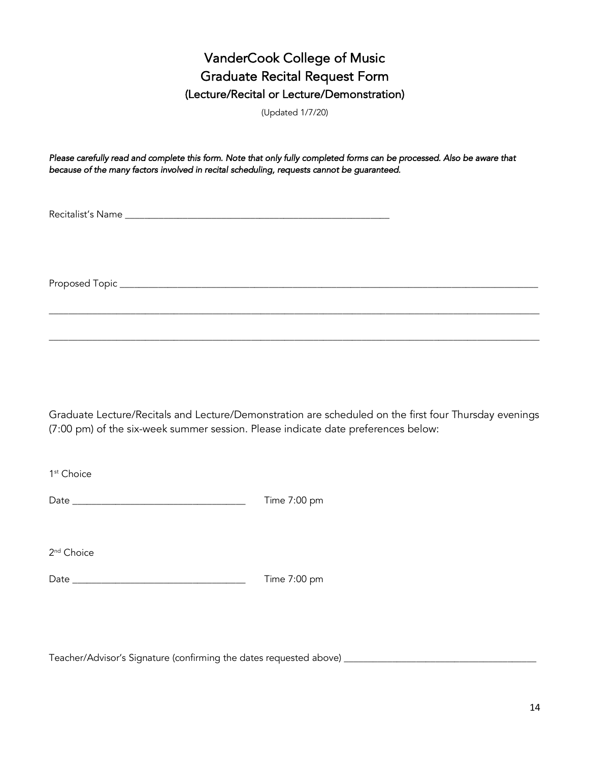## VanderCook College of Music Graduate Recital Request Form (Lecture/Recital or Lecture/Demonstration)

(Updated 1/7/20)

*Please carefully read and complete this form. Note that only fully completed forms can be processed. Also be aware that because of the many factors involved in recital scheduling, requests cannot be guaranteed.* 

Recitalist's Name \_\_\_\_\_\_\_\_\_\_\_\_\_\_\_\_\_\_\_\_\_\_\_\_\_\_\_\_\_\_\_\_\_\_\_\_\_\_\_\_\_\_\_\_\_\_\_\_\_\_\_\_\_\_\_

Proposed Topic \_\_\_\_\_\_\_\_\_\_\_\_\_\_\_\_\_\_\_\_\_\_\_\_\_\_\_\_\_\_\_\_\_\_\_\_\_\_\_\_\_\_\_\_\_\_\_\_\_\_\_\_\_\_\_\_\_\_\_\_\_\_\_\_\_\_\_\_\_\_\_\_\_\_\_\_\_\_\_\_\_\_\_\_\_\_\_

Graduate Lecture/Recitals and Lecture/Demonstration are scheduled on the first four Thursday evenings (7:00 pm) of the six-week summer session. Please indicate date preferences below:

\_\_\_\_\_\_\_\_\_\_\_\_\_\_\_\_\_\_\_\_\_\_\_\_\_\_\_\_\_\_\_\_\_\_\_\_\_\_\_\_\_\_\_\_\_\_\_\_\_\_\_\_\_\_\_\_\_\_\_\_\_\_\_\_\_\_\_\_\_\_\_\_\_\_\_\_\_\_\_\_\_\_\_\_\_\_\_\_\_\_\_\_\_\_\_\_\_\_\_\_\_\_

\_\_\_\_\_\_\_\_\_\_\_\_\_\_\_\_\_\_\_\_\_\_\_\_\_\_\_\_\_\_\_\_\_\_\_\_\_\_\_\_\_\_\_\_\_\_\_\_\_\_\_\_\_\_\_\_\_\_\_\_\_\_\_\_\_\_\_\_\_\_\_\_\_\_\_\_\_\_\_\_\_\_\_\_\_\_\_\_\_\_\_\_\_\_\_\_\_\_\_\_\_\_

1<sup>st</sup> Choice

| Dat | $\sim$<br>$-$<br>л<br>--- |
|-----|---------------------------|
|-----|---------------------------|

2<sup>nd</sup> Choice

Date \_\_\_\_\_\_\_\_\_\_\_\_\_\_\_\_\_\_\_\_\_\_\_\_\_\_\_\_\_\_\_\_\_\_\_\_ Time 7:00 pm

Teacher/Advisor's Signature (confirming the dates requested above) \_\_\_\_\_\_\_\_\_\_\_\_\_\_\_\_\_\_\_\_\_\_\_\_\_\_\_\_\_\_\_\_\_\_\_\_\_\_\_\_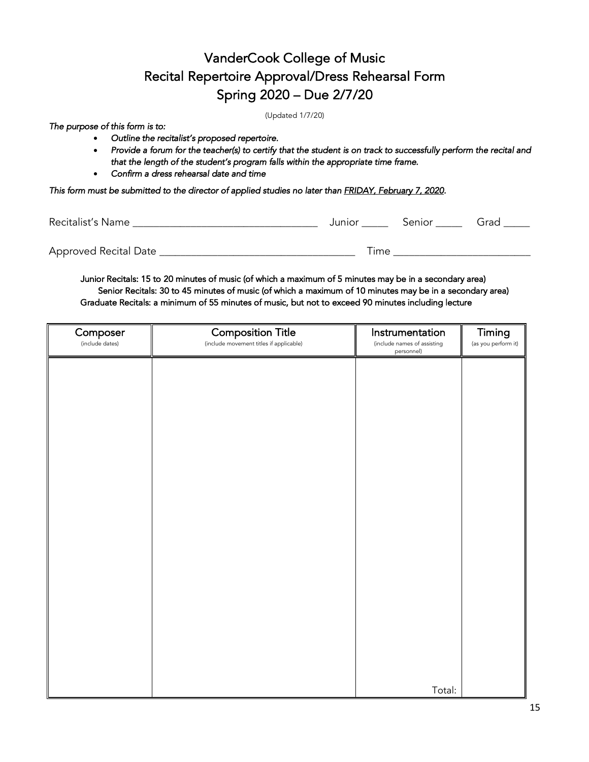## VanderCook College of Music Recital Repertoire Approval/Dress Rehearsal Form Spring 2020 – Due 2/7/20

(Updated 1/7/20)

*The purpose of this form is to:* 

- *Outline the recitalist's proposed repertoire.*
- *Provide a forum for the teacher(s) to certify that the student is on track to successfully perform the recital and that the length of the student's program falls within the appropriate time frame.*
- *Confirm a dress rehearsal date and time*

*This form must be submitted to the director of applied studies no later than FRIDAY, February 7, 2020.* 

| Recitalist's Name     |      | Junior Senior Grad |  |
|-----------------------|------|--------------------|--|
| Approved Recital Date | Time |                    |  |

 Junior Recitals: 15 to 20 minutes of music (of which a maximum of 5 minutes may be in a secondary area) Senior Recitals: 30 to 45 minutes of music (of which a maximum of 10 minutes may be in a secondary area) Graduate Recitals: a minimum of 55 minutes of music, but not to exceed 90 minutes including lecture

| Composer<br>(include dates) | <b>Composition Title</b><br>(include movement titles if applicable) | Instrumentation<br>(include names of assisting | Timing<br>(as you perform it) |
|-----------------------------|---------------------------------------------------------------------|------------------------------------------------|-------------------------------|
|                             |                                                                     | personnel)                                     |                               |
|                             |                                                                     |                                                |                               |
|                             |                                                                     |                                                |                               |
|                             |                                                                     |                                                |                               |
|                             |                                                                     |                                                |                               |
|                             |                                                                     |                                                |                               |
|                             |                                                                     |                                                |                               |
|                             |                                                                     |                                                |                               |
|                             |                                                                     |                                                |                               |
|                             |                                                                     |                                                |                               |
|                             |                                                                     |                                                |                               |
|                             |                                                                     |                                                |                               |
|                             |                                                                     |                                                |                               |
|                             |                                                                     |                                                |                               |
|                             |                                                                     |                                                |                               |
|                             |                                                                     |                                                |                               |
|                             |                                                                     |                                                |                               |
|                             |                                                                     | Total:                                         |                               |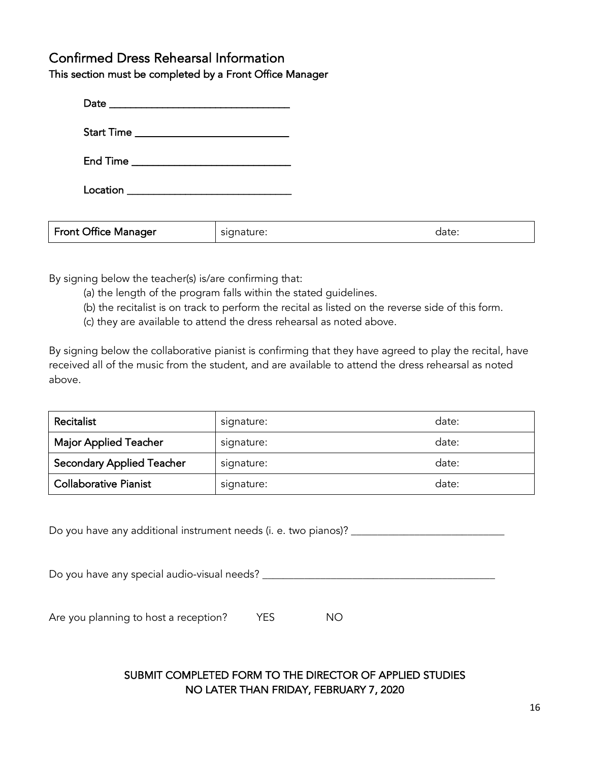#### Confirmed Dress Rehearsal Information

This section must be completed by a Front Office Manager

| Start Time _________________________________ |            |       |
|----------------------------------------------|------------|-------|
|                                              |            |       |
|                                              |            |       |
|                                              |            |       |
| <b>Front Office Manager</b>                  | signature: | date: |

By signing below the teacher(s) is/are confirming that:

- (a) the length of the program falls within the stated guidelines.
- (b) the recitalist is on track to perform the recital as listed on the reverse side of this form.
- (c) they are available to attend the dress rehearsal as noted above.

By signing below the collaborative pianist is confirming that they have agreed to play the recital, have received all of the music from the student, and are available to attend the dress rehearsal as noted above.

| Recitalist                       | signature: | date: |
|----------------------------------|------------|-------|
| <b>Major Applied Teacher</b>     | signature: | date: |
| <b>Secondary Applied Teacher</b> | signature: | date: |
| <b>Collaborative Pianist</b>     | signature: | date: |

Do you have any additional instrument needs (i. e. two pianos)? \_\_\_\_\_\_\_\_\_\_\_\_\_\_\_\_

Do you have any special audio-visual needs? \_\_\_\_\_\_\_\_\_\_\_\_\_\_\_\_\_\_\_\_\_\_\_\_\_\_\_\_\_\_\_\_\_\_\_\_\_\_\_\_\_\_\_\_

Are you planning to host a reception? YES NO

#### SUBMIT COMPLETED FORM TO THE DIRECTOR OF APPLIED STUDIES NO LATER THAN FRIDAY, FEBRUARY 7, 2020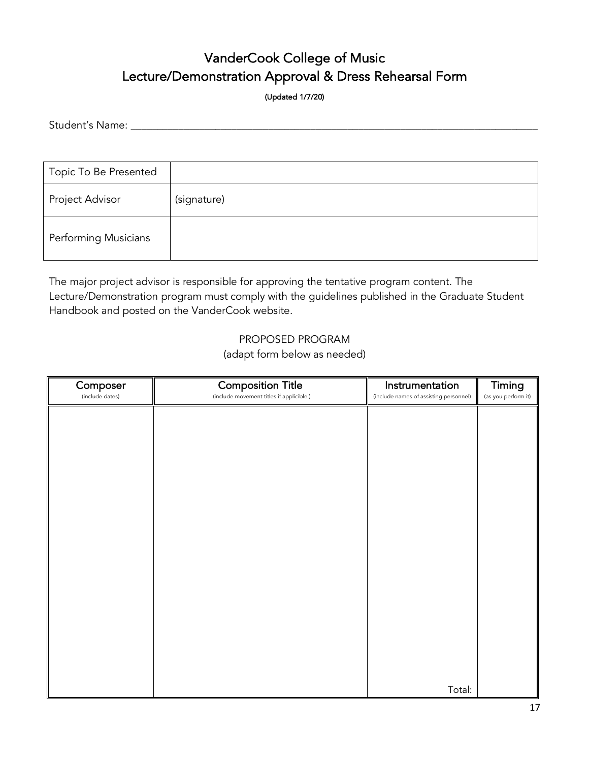## VanderCook College of Music Lecture/Demonstration Approval & Dress Rehearsal Form

(Updated 1/7/20)

Student's Name: \_\_\_\_\_\_\_\_\_\_\_\_\_\_\_\_\_\_\_\_\_\_\_\_\_\_\_\_\_\_\_\_\_\_\_\_\_\_\_\_\_\_\_\_\_\_\_\_\_\_\_\_\_\_\_\_\_\_\_\_\_\_\_\_\_\_\_\_\_\_\_\_\_\_\_\_\_

| Topic To Be Presented       |             |
|-----------------------------|-------------|
| Project Advisor             | (signature) |
| <b>Performing Musicians</b> |             |

The major project advisor is responsible for approving the tentative program content. The Lecture/Demonstration program must comply with the guidelines published in the Graduate Student Handbook and posted on the VanderCook website.

#### PROPOSED PROGRAM

(adapt form below as needed)

| Composer<br>(include dates) | <b>Composition Title</b><br>(include movement titles if applicible.) | Instrumentation<br>(include names of assisting personnel) | Timing<br>(as you perform it) |
|-----------------------------|----------------------------------------------------------------------|-----------------------------------------------------------|-------------------------------|
|                             |                                                                      |                                                           |                               |
|                             |                                                                      |                                                           |                               |
|                             |                                                                      |                                                           |                               |
|                             |                                                                      |                                                           |                               |
|                             |                                                                      |                                                           |                               |
|                             |                                                                      |                                                           |                               |
|                             |                                                                      |                                                           |                               |
|                             |                                                                      |                                                           |                               |
|                             |                                                                      |                                                           |                               |
|                             |                                                                      |                                                           |                               |
|                             |                                                                      |                                                           |                               |
|                             |                                                                      |                                                           |                               |
|                             |                                                                      |                                                           |                               |
|                             |                                                                      | Total:                                                    |                               |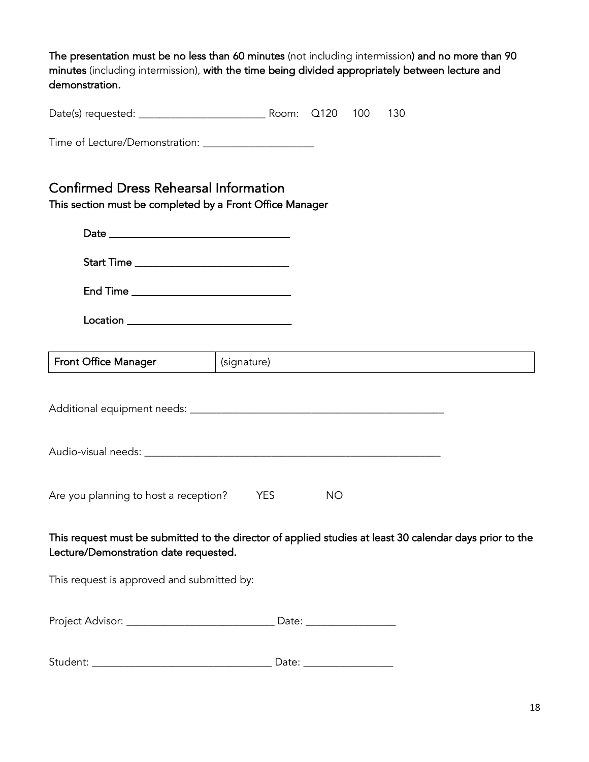The presentation must be no less than 60 minutes (not including intermission) and no more than 90 minutes (including intermission), with the time being divided appropriately between lecture and demonstration.

Date(s) requested: \_\_\_\_\_\_\_\_\_\_\_\_\_\_\_\_\_\_\_\_\_\_\_\_ Room: Q120 100 130

Time of Lecture/Demonstration: \_\_\_\_\_\_\_\_\_\_\_\_\_\_\_\_\_\_\_\_\_

## Confirmed Dress Rehearsal Information

This section must be completed by a Front Office Manager

| End Time _________________________________                                                            |                                                                                                          |
|-------------------------------------------------------------------------------------------------------|----------------------------------------------------------------------------------------------------------|
|                                                                                                       |                                                                                                          |
| <b>Front Office Manager</b>                                                                           | (signature)                                                                                              |
|                                                                                                       |                                                                                                          |
|                                                                                                       |                                                                                                          |
| Are you planning to host a reception?                                                                 | <b>YES</b><br><b>NO</b>                                                                                  |
| Lecture/Demonstration date requested.                                                                 | This request must be submitted to the director of applied studies at least 30 calendar days prior to the |
| This request is approved and submitted by:                                                            |                                                                                                          |
|                                                                                                       |                                                                                                          |
| Student:<br>the control of the control of the control of the control of the control of the control of | Date: $\_\_$                                                                                             |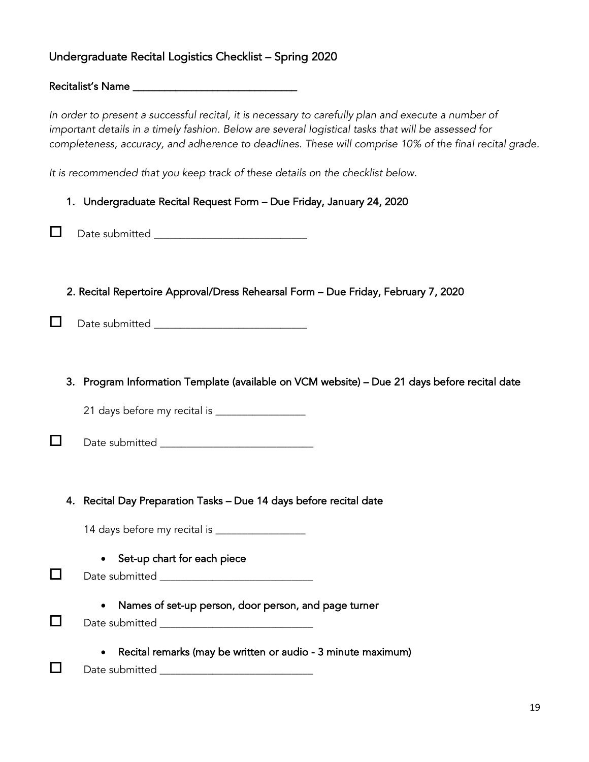#### Undergraduate Recital Logistics Checklist – Spring 2020

Recitalist's Name \_\_\_\_\_\_\_\_\_\_\_\_\_\_\_\_\_\_\_\_\_\_\_\_\_\_\_\_\_\_\_

*In order to present a successful recital, it is necessary to carefully plan and execute a number of important details in a timely fashion. Below are several logistical tasks that will be assessed for completeness, accuracy, and adherence to deadlines. These will comprise 10% of the final recital grade.* 

*It is recommended that you keep track of these details on the checklist below.*

|     | 1. Undergraduate Recital Request Form - Due Friday, January 24, 2020                                          |
|-----|---------------------------------------------------------------------------------------------------------------|
| - 1 | Date submitted ______________________________                                                                 |
|     | 2. Recital Repertoire Approval/Dress Rehearsal Form - Due Friday, February 7, 2020                            |
|     | 3. Program Information Template (available on VCM website) - Due 21 days before recital date                  |
|     |                                                                                                               |
|     |                                                                                                               |
|     | 4. Recital Day Preparation Tasks - Due 14 days before recital date                                            |
|     | Set-up chart for each piece                                                                                   |
| . I | Names of set-up person, door person, and page turner<br>Date submitted __________________________________     |
|     | Recital remarks (may be written or audio - 3 minute maximum)<br>Date submitted ______________________________ |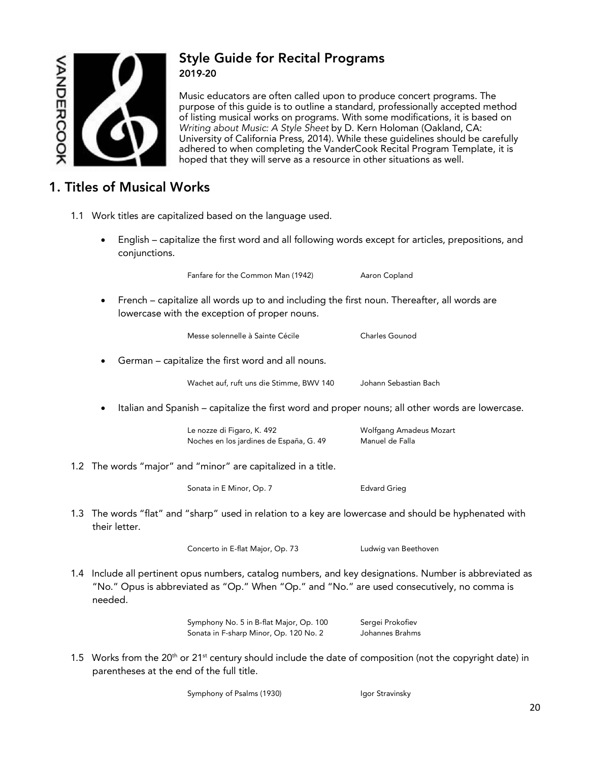

#### Style Guide for Recital Programs 2019-20

Music educators are often called upon to produce concert programs. The purpose of this guide is to outline a standard, professionally accepted method of listing musical works on programs. With some modifications, it is based on *Writing about Music: A Style Sheet* by D. Kern Holoman (Oakland, CA: University of California Press, 2014). While these guidelines should be carefully adhered to when completing the VanderCook Recital Program Template, it is hoped that they will serve as a resource in other situations as well.

#### 1. Titles of Musical Works

- 1.1 Work titles are capitalized based on the language used.
	- English capitalize the first word and all following words except for articles, prepositions, and conjunctions.

Fanfare for the Common Man (1942) Aaron Copland

- 
- French capitalize all words up to and including the first noun. Thereafter, all words are lowercase with the exception of proper nouns.

Messe solennelle à Sainte Cécile<br>
Charles Gounod

• German – capitalize the first word and all nouns.

Wachet auf, ruft uns die Stimme, BWV 140 Johann Sebastian Bach

• Italian and Spanish – capitalize the first word and proper nouns; all other words are lowercase.

Le nozze di Figaro, K. 492 Molfgang Amadeus Mozart Noches en los jardines de España, G. 49 Manuel de Falla

1.2 The words "major" and "minor" are capitalized in a title.

Sonata in E Minor, Op. 7 Edvard Grieg

 1.3 The words "flat" and "sharp" used in relation to a key are lowercase and should be hyphenated with their letter.

Concerto in E-flat Major, Op. 73 Ludwig van Beethoven

 1.4 Include all pertinent opus numbers, catalog numbers, and key designations. Number is abbreviated as "No." Opus is abbreviated as "Op." When "Op." and "No." are used consecutively, no comma is needed.

> Symphony No. 5 in B-flat Major, Op. 100 Sergei Prokofiev Sonata in F-sharp Minor, Op. 120 No. 2 Johannes Brahms

1.5 Works from the 20<sup>th</sup> or 21<sup>st</sup> century should include the date of composition (not the copyright date) in parentheses at the end of the full title.

Symphony of Psalms (1930) Igor Stravinsky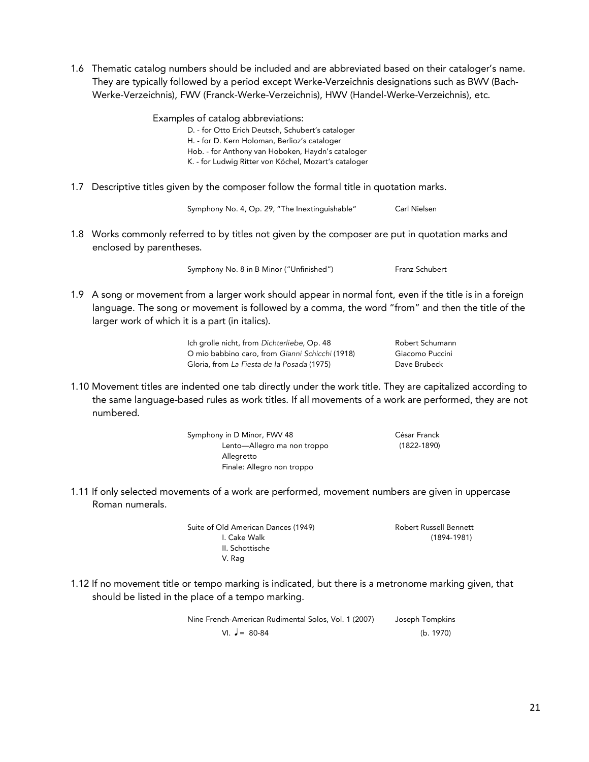1.6 Thematic catalog numbers should be included and are abbreviated based on their cataloger's name. They are typically followed by a period except Werke-Verzeichnis designations such as BWV (Bach-Werke-Verzeichnis), FWV (Franck-Werke-Verzeichnis), HWV (Handel-Werke-Verzeichnis), etc.

> Examples of catalog abbreviations: D. - for Otto Erich Deutsch, Schubert's cataloger H. - for D. Kern Holoman, Berlioz's cataloger Hob. - for Anthony van Hoboken, Haydn's cataloger K. - for Ludwig Ritter von Köchel, Mozart's cataloger

1.7 Descriptive titles given by the composer follow the formal title in quotation marks.

Symphony No. 4, Op. 29, "The Inextinguishable" Carl Nielsen

 1.8 Works commonly referred to by titles not given by the composer are put in quotation marks and enclosed by parentheses.

Symphony No. 8 in B Minor ("Unfinished") Franz Schubert

- 
- 1.9 A song or movement from a larger work should appear in normal font, even if the title is in a foreign language. The song or movement is followed by a comma, the word "from" and then the title of the larger work of which it is a part (in italics).

Ich grolle nicht, from *Dichterliebe*, Op. 48 Robert Schumann O mio babbino caro, from *Gianni Schicchi* (1918) Giacomo Puccini Gloria, from *La Fiesta de la Posada* (1975) Dave Brubeck

 1.10 Movement titles are indented one tab directly under the work title. They are capitalized according to the same language-based rules as work titles. If all movements of a work are performed, they are not numbered.

> Symphony in D Minor, FWV 48 César Franck Lento—Allegro ma non troppo (1822-1890) Allegretto Finale: Allegro non troppo

 1.11 If only selected movements of a work are performed, movement numbers are given in uppercase Roman numerals.

> Suite of Old American Dances (1949) **Robert Russell Bennett** I. Cake Walk (1894-1981) II. Schottische V. Rag

 1.12 If no movement title or tempo marking is indicated, but there is a metronome marking given, that should be listed in the place of a tempo marking.

> Nine French-American Rudimental Solos, Vol. 1 (2007) Joseph Tompkins  $VI. \quad J = 80-84$  (b. 1970)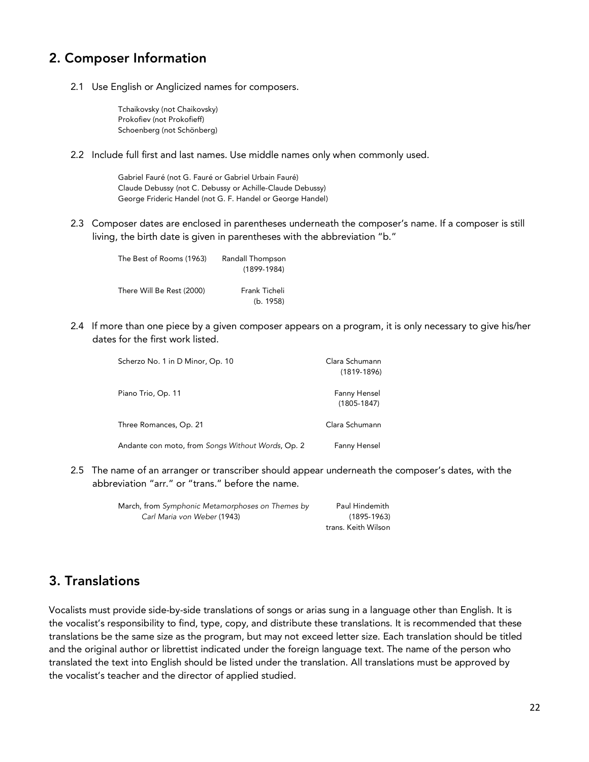#### 2. Composer Information

2.1 Use English or Anglicized names for composers.

Tchaikovsky (not Chaikovsky) Prokofiev (not Prokofieff) Schoenberg (not Schönberg)

2.2 Include full first and last names. Use middle names only when commonly used.

Gabriel Fauré (not G. Fauré or Gabriel Urbain Fauré) Claude Debussy (not C. Debussy or Achille-Claude Debussy) George Frideric Handel (not G. F. Handel or George Handel)

 2.3 Composer dates are enclosed in parentheses underneath the composer's name. If a composer is still living, the birth date is given in parentheses with the abbreviation "b."

| The Best of Rooms (1963)  | Randall Thompson |
|---------------------------|------------------|
|                           | $(1899-1984)$    |
|                           |                  |
| There Will Be Rest (2000) | Frank Ticheli    |
|                           | (b. 1958)        |

 2.4 If more than one piece by a given composer appears on a program, it is only necessary to give his/her dates for the first work listed.

| Scherzo No. 1 in D Minor, Op. 10                  | Clara Schumann<br>$(1819-1896)$ |
|---------------------------------------------------|---------------------------------|
| Piano Trio, Op. 11                                | Fanny Hensel<br>$(1805 - 1847)$ |
| Three Romances, Op. 21                            | Clara Schumann                  |
| Andante con moto, from Songs Without Words, Op. 2 | Fanny Hensel                    |

 2.5 The name of an arranger or transcriber should appear underneath the composer's dates, with the abbreviation "arr." or "trans." before the name.

| March, from Symphonic Metamorphoses on Themes by | Paul Hindemith      |
|--------------------------------------------------|---------------------|
| Carl Maria von Weber (1943)                      | $(1895 - 1963)$     |
|                                                  | trans. Keith Wilson |

#### 3. Translations

Vocalists must provide side-by-side translations of songs or arias sung in a language other than English. It is the vocalist's responsibility to find, type, copy, and distribute these translations. It is recommended that these translations be the same size as the program, but may not exceed letter size. Each translation should be titled and the original author or librettist indicated under the foreign language text. The name of the person who translated the text into English should be listed under the translation. All translations must be approved by the vocalist's teacher and the director of applied studied.